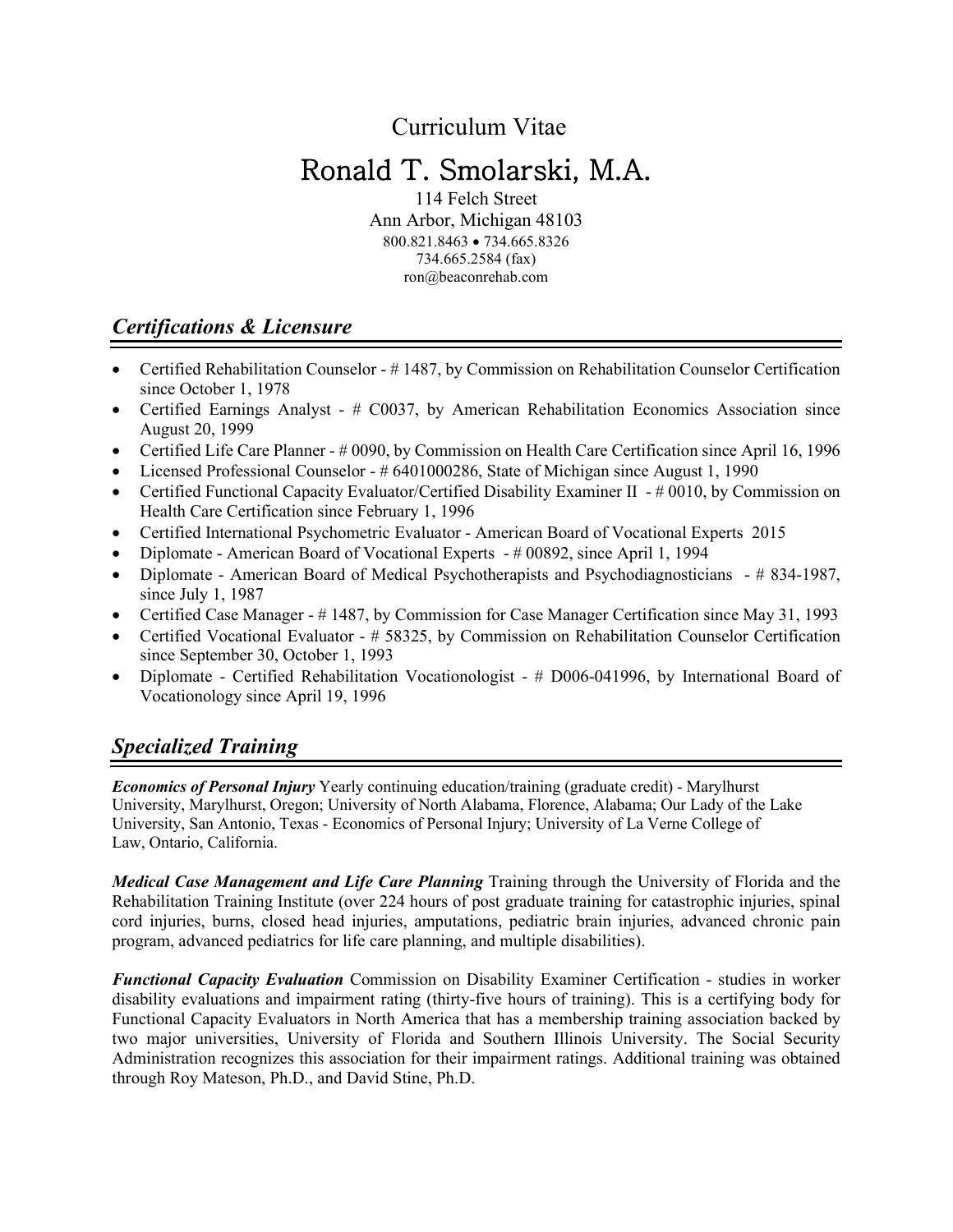Curriculum Vitae

# Ronald T. Smolarski, M.A.

114 Felch Street Ann Arbor, Michigan 48103 800.821.8463 • 734.665.8326 734.665.2584 (fax) ron@beaconrehab.com

### *Certifications & Licensure*

- Certified Rehabilitation Counselor #1487, by Commission on Rehabilitation Counselor Certification since October 1, 1978
- Certified Earnings Analyst # C0037, by American Rehabilitation Economics Association since August 20, 1999
- Certified Life Care Planner # 0090, by Commission on Health Care Certification since April 16, 1996
- Licensed Professional Counselor # 6401000286, State of Michigan since August 1, 1990
- Certified Functional Capacity Evaluator/Certified Disability Examiner II # 0010, by Commission on Health Care Certification since February 1, 1996
- Certified International Psychometric Evaluator American Board of Vocational Experts 2015
- Diplomate American Board of Vocational Experts # 00892, since April 1, 1994
- Diplomate American Board of Medical Psychotherapists and Psychodiagnosticians # 834-1987, since July 1, 1987
- Certified Case Manager # 1487, by Commission for Case Manager Certification since May 31, 1993
- Certified Vocational Evaluator # 58325, by Commission on Rehabilitation Counselor Certification since September 30, October 1, 1993
- Diplomate Certified Rehabilitation Vocationologist # D006-041996, by International Board of Vocationology since April 19, 1996

# *Specialized Training*

*Economics of Personal Injury* Yearly continuing education/training (graduate credit) - Marylhurst University, Marylhurst, Oregon; University of North Alabama, Florence, Alabama; Our Lady of the Lake University, San Antonio, Texas - Economics of Personal Injury; University of La Verne College of Law, Ontario, California.

*Medical Case Management and Life Care Planning* Training through the University of Florida and the Rehabilitation Training Institute (over 224 hours of post graduate training for catastrophic injuries, spinal cord injuries, burns, closed head injuries, amputations, pediatric brain injuries, advanced chronic pain program, advanced pediatrics for life care planning, and multiple disabilities).

*Functional Capacity Evaluation* Commission on Disability Examiner Certification - studies in worker disability evaluations and impairment rating (thirty-five hours of training). This is a certifying body for Functional Capacity Evaluators in North America that has a membership training association backed by two major universities, University of Florida and Southern Illinois University. The Social Security Administration recognizes this association for their impairment ratings. Additional training was obtained through Roy Mateson, Ph.D., and David Stine, Ph.D.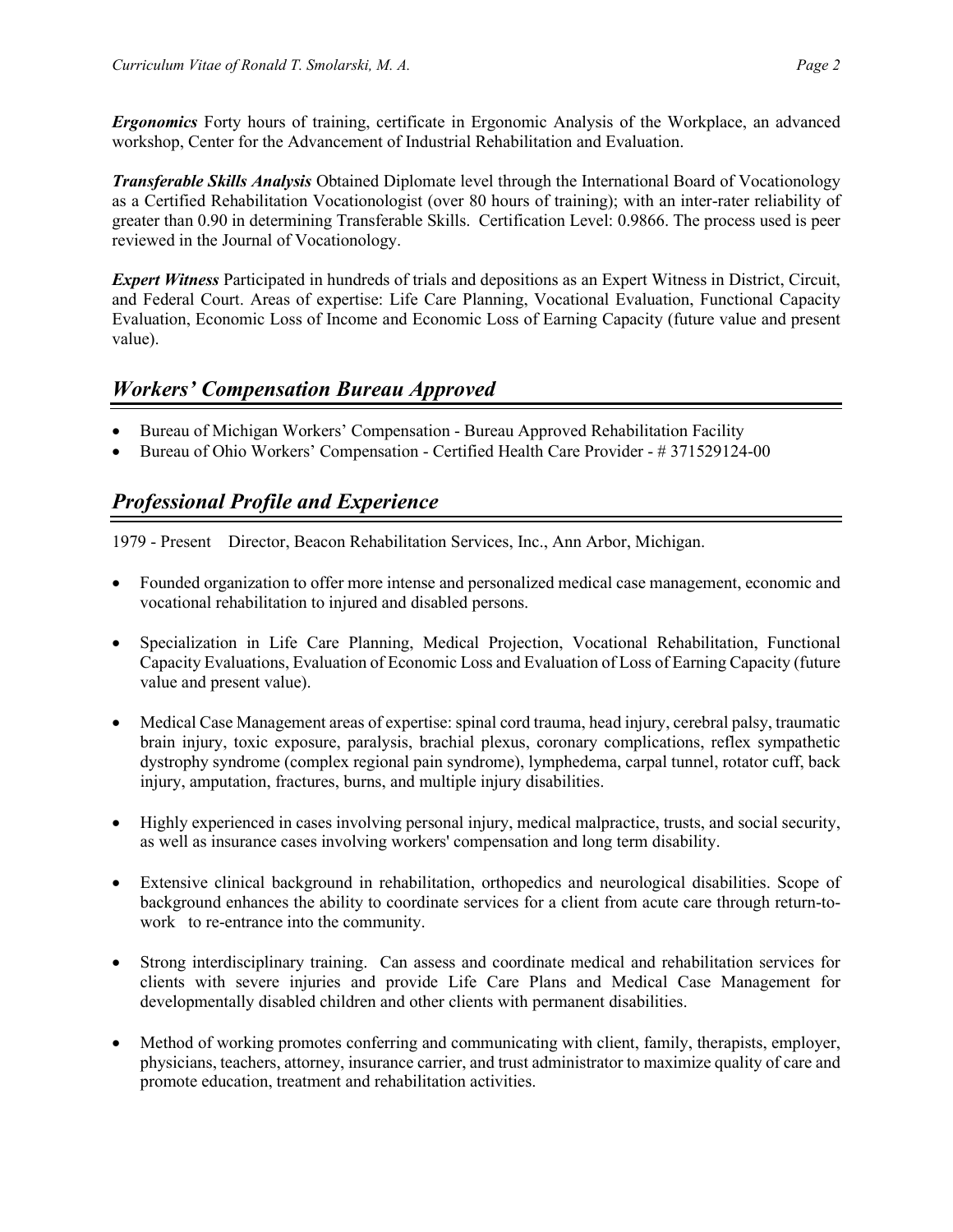*Ergonomics* Forty hours of training, certificate in Ergonomic Analysis of the Workplace, an advanced workshop, Center for the Advancement of Industrial Rehabilitation and Evaluation.

*Transferable Skills Analysis* Obtained Diplomate level through the International Board of Vocationology as a Certified Rehabilitation Vocationologist (over 80 hours of training); with an inter-rater reliability of greater than 0.90 in determining Transferable Skills. Certification Level: 0.9866. The process used is peer reviewed in the Journal of Vocationology.

*Expert Witness* Participated in hundreds of trials and depositions as an Expert Witness in District, Circuit, and Federal Court. Areas of expertise: Life Care Planning, Vocational Evaluation, Functional Capacity Evaluation, Economic Loss of Income and Economic Loss of Earning Capacity (future value and present value).

### *Workers' Compensation Bureau Approved*

- Bureau of Michigan Workers' Compensation Bureau Approved Rehabilitation Facility
- Bureau of Ohio Workers' Compensation Certified Health Care Provider #371529124-00

### *Professional Profile and Experience*

1979 - Present Director, Beacon Rehabilitation Services, Inc., Ann Arbor, Michigan.

- Founded organization to offer more intense and personalized medical case management, economic and vocational rehabilitation to injured and disabled persons.
- Specialization in Life Care Planning, Medical Projection, Vocational Rehabilitation, Functional Capacity Evaluations, Evaluation of Economic Loss and Evaluation of Loss of Earning Capacity (future value and present value).
- Medical Case Management areas of expertise: spinal cord trauma, head injury, cerebral palsy, traumatic brain injury, toxic exposure, paralysis, brachial plexus, coronary complications, reflex sympathetic dystrophy syndrome (complex regional pain syndrome), lymphedema, carpal tunnel, rotator cuff, back injury, amputation, fractures, burns, and multiple injury disabilities.
- Highly experienced in cases involving personal injury, medical malpractice, trusts, and social security, as well as insurance cases involving workers' compensation and long term disability.
- Extensive clinical background in rehabilitation, orthopedics and neurological disabilities. Scope of background enhances the ability to coordinate services for a client from acute care through return-towork to re-entrance into the community.
- Strong interdisciplinary training. Can assess and coordinate medical and rehabilitation services for clients with severe injuries and provide Life Care Plans and Medical Case Management for developmentally disabled children and other clients with permanent disabilities.
- Method of working promotes conferring and communicating with client, family, therapists, employer, physicians, teachers, attorney, insurance carrier, and trust administrator to maximize quality of care and promote education, treatment and rehabilitation activities.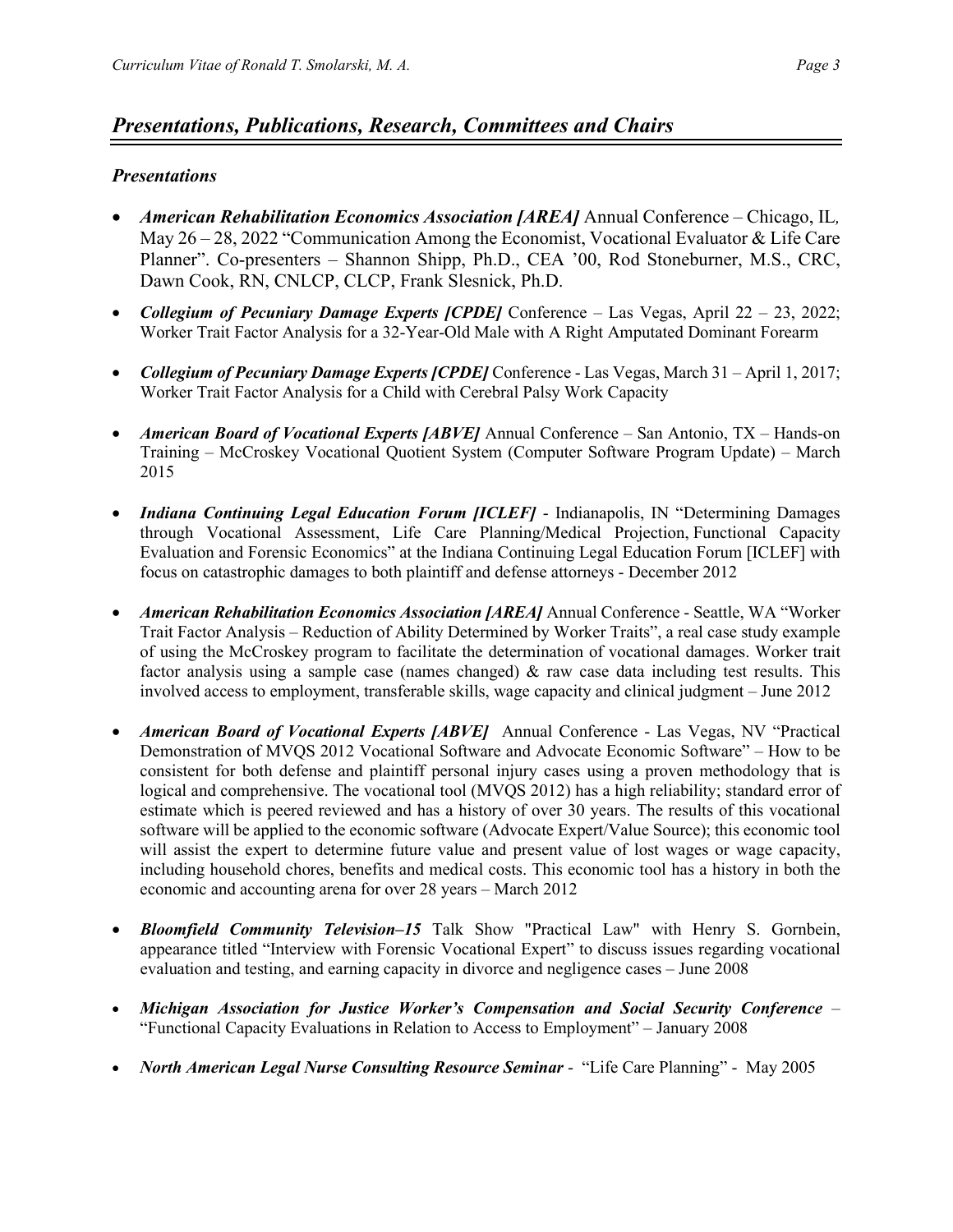### *Presentations, Publications, Research, Committees and Chairs*

#### *Presentations*

- *American Rehabilitation Economics Association [AREA]* Annual Conference Chicago, IL*,*  May 26 – 28, 2022 "Communication Among the Economist, Vocational Evaluator & Life Care Planner". Co-presenters – Shannon Shipp, Ph.D., CEA '00, Rod Stoneburner, M.S., CRC, Dawn Cook, RN, CNLCP, CLCP, Frank Slesnick, Ph.D.
- *Collegium of Pecuniary Damage Experts [CPDE]* Conference Las Vegas, April 22 23, 2022; Worker Trait Factor Analysis for a 32-Year-Old Male with A Right Amputated Dominant Forearm
- *Collegium of Pecuniary Damage Experts [CPDE]* Conference Las Vegas, March 31 April 1, 2017; Worker Trait Factor Analysis for a Child with Cerebral Palsy Work Capacity
- *American Board of Vocational Experts [ABVE]* Annual Conference San Antonio, TX Hands-on Training – McCroskey Vocational Quotient System (Computer Software Program Update) – March 2015
- *Indiana Continuing Legal Education Forum [ICLEF]* Indianapolis, IN "Determining Damages through Vocational Assessment, Life Care Planning/Medical Projection, Functional Capacity Evaluation and Forensic Economics" at the Indiana Continuing Legal Education Forum [ICLEF] with focus on catastrophic damages to both plaintiff and defense attorneys - December 2012
- *American Rehabilitation Economics Association [AREA]* Annual Conference Seattle, WA "Worker Trait Factor Analysis – Reduction of Ability Determined by Worker Traits", a real case study example of using the McCroskey program to facilitate the determination of vocational damages. Worker trait factor analysis using a sample case (names changed)  $\&$  raw case data including test results. This involved access to employment, transferable skills, wage capacity and clinical judgment – June 2012
- *American Board of Vocational Experts [ABVE]* Annual Conference Las Vegas, NV "Practical Demonstration of MVQS 2012 Vocational Software and Advocate Economic Software" – How to be consistent for both defense and plaintiff personal injury cases using a proven methodology that is logical and comprehensive. The vocational tool (MVQS 2012) has a high reliability; standard error of estimate which is peered reviewed and has a history of over 30 years. The results of this vocational software will be applied to the economic software (Advocate Expert/Value Source); this economic tool will assist the expert to determine future value and present value of lost wages or wage capacity, including household chores, benefits and medical costs. This economic tool has a history in both the economic and accounting arena for over 28 years – March 2012
- *Bloomfield Community Television–15* Talk Show "Practical Law" with Henry S. Gornbein, appearance titled "Interview with Forensic Vocational Expert" to discuss issues regarding vocational evaluation and testing, and earning capacity in divorce and negligence cases – June 2008
- *Michigan Association for Justice Worker's Compensation and Social Security Conference*  "Functional Capacity Evaluations in Relation to Access to Employment" – January 2008
- *North American Legal Nurse Consulting Resource Seminar* "Life Care Planning" May 2005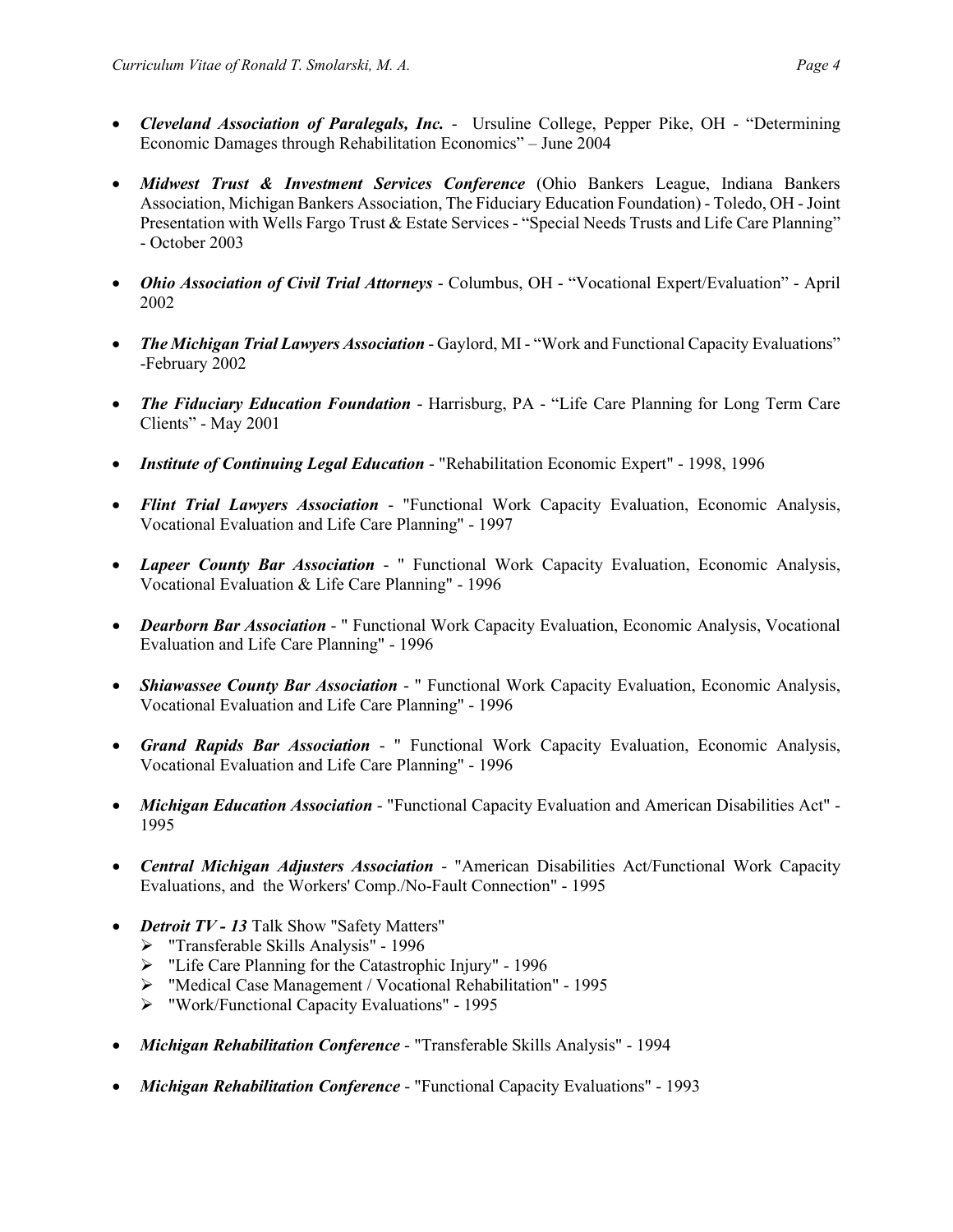- *Cleveland Association of Paralegals, Inc.* Ursuline College, Pepper Pike, OH "Determining Economic Damages through Rehabilitation Economics" – June 2004
- *Midwest Trust & Investment Services Conference* (Ohio Bankers League, Indiana Bankers Association, Michigan Bankers Association, The Fiduciary Education Foundation) - Toledo, OH -Joint Presentation with Wells Fargo Trust & Estate Services - "Special Needs Trusts and Life Care Planning" - October 2003
- *Ohio Association of Civil Trial Attorneys* Columbus, OH "Vocational Expert/Evaluation" April 2002
- *The Michigan Trial Lawyers Association* Gaylord, MI "Work and Functional Capacity Evaluations" -February 2002
- *The Fiduciary Education Foundation* Harrisburg, PA "Life Care Planning for Long Term Care Clients" - May 2001
- *Institute of Continuing Legal Education* "Rehabilitation Economic Expert" 1998, 1996
- *Flint Trial Lawyers Association* "Functional Work Capacity Evaluation, Economic Analysis, Vocational Evaluation and Life Care Planning" - 1997
- *Lapeer County Bar Association* " Functional Work Capacity Evaluation, Economic Analysis, Vocational Evaluation & Life Care Planning" - 1996
- *Dearborn Bar Association* " Functional Work Capacity Evaluation, Economic Analysis, Vocational Evaluation and Life Care Planning" - 1996
- *Shiawassee County Bar Association* " Functional Work Capacity Evaluation, Economic Analysis, Vocational Evaluation and Life Care Planning" - 1996
- *Grand Rapids Bar Association* " Functional Work Capacity Evaluation, Economic Analysis, Vocational Evaluation and Life Care Planning" - 1996
- *Michigan Education Association* "Functional Capacity Evaluation and American Disabilities Act" 1995
- *Central Michigan Adjusters Association* "American Disabilities Act/Functional Work Capacity Evaluations, and the Workers' Comp./No-Fault Connection" - 1995
- *Detroit TV - 13* Talk Show "Safety Matters"
	- > "Transferable Skills Analysis" 1996
	- "Life Care Planning for the Catastrophic Injury" 1996
	- "Medical Case Management / Vocational Rehabilitation" 1995
	- "Work/Functional Capacity Evaluations" 1995
- *Michigan Rehabilitation Conference* "Transferable Skills Analysis" 1994
- *Michigan Rehabilitation Conference* "Functional Capacity Evaluations" 1993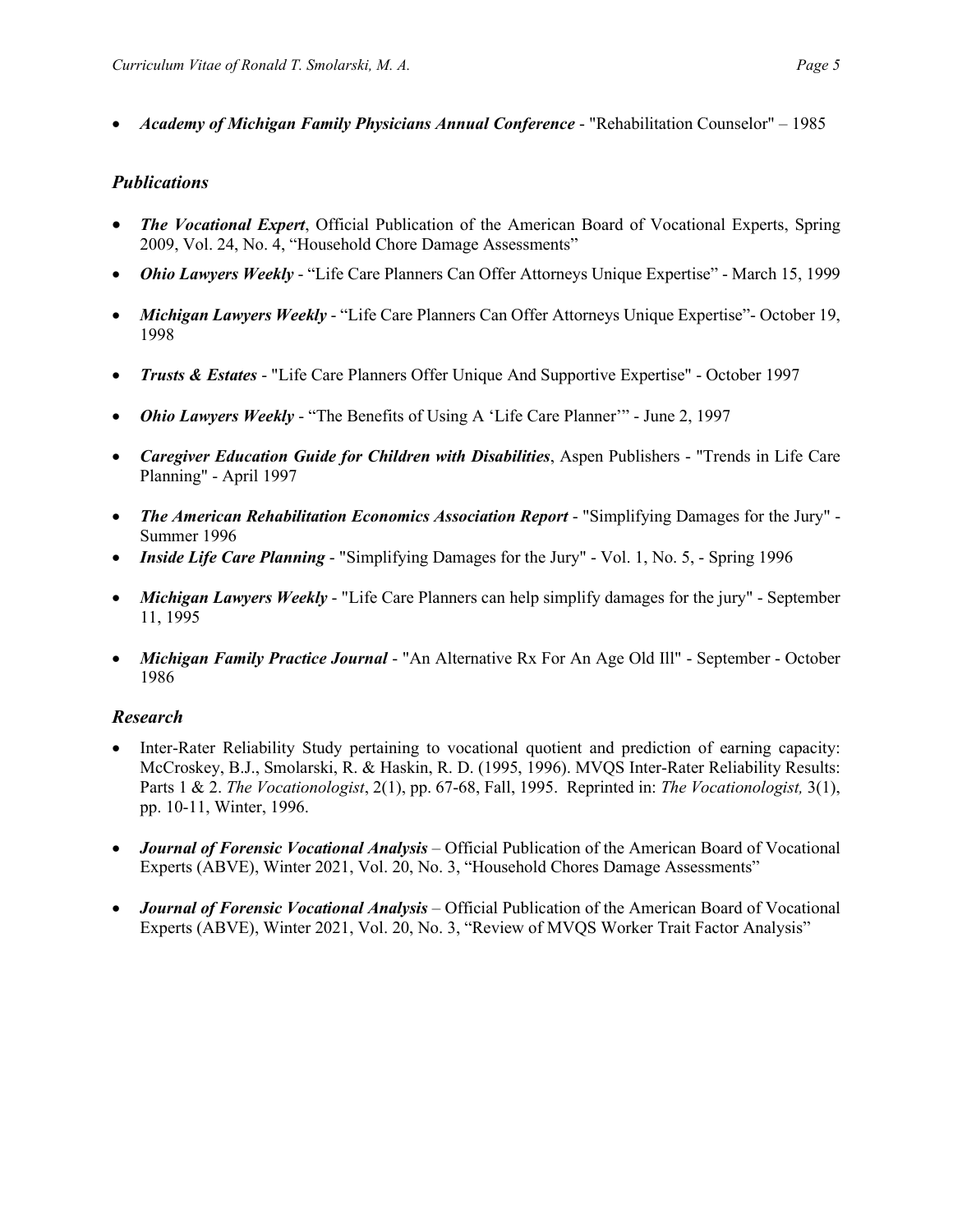• *Academy of Michigan Family Physicians Annual Conference* - "Rehabilitation Counselor" – 1985

#### *Publications*

- *The Vocational Expert*, Official Publication of the American Board of Vocational Experts, Spring 2009, Vol. 24, No. 4, "Household Chore Damage Assessments"
- *Ohio Lawyers Weekly* "Life Care Planners Can Offer Attorneys Unique Expertise" March 15, 1999
- *Michigan Lawyers Weekly* "Life Care Planners Can Offer Attorneys Unique Expertise"- October 19, 1998
- *Trusts & Estates* "Life Care Planners Offer Unique And Supportive Expertise" October 1997
- *Ohio Lawyers Weekly* "The Benefits of Using A 'Life Care Planner'" June 2, 1997
- *Caregiver Education Guide for Children with Disabilities*, Aspen Publishers "Trends in Life Care Planning" - April 1997
- *The American Rehabilitation Economics Association Report* "Simplifying Damages for the Jury" Summer 1996
- *Inside Life Care Planning* "Simplifying Damages for the Jury" Vol. 1, No. 5, Spring 1996
- *Michigan Lawyers Weekly* "Life Care Planners can help simplify damages for the jury" September 11, 1995
- *Michigan Family Practice Journal* "An Alternative Rx For An Age Old Ill" September October 1986

#### *Research*

- Inter-Rater Reliability Study pertaining to vocational quotient and prediction of earning capacity: McCroskey, B.J., Smolarski, R. & Haskin, R. D. (1995, 1996). MVQS Inter-Rater Reliability Results: Parts 1 & 2. *The Vocationologist*, 2(1), pp. 67-68, Fall, 1995. Reprinted in: *The Vocationologist,* 3(1), pp. 10-11, Winter, 1996.
- *Journal of Forensic Vocational Analysis –* Official Publication of the American Board of Vocational Experts (ABVE), Winter 2021, Vol. 20, No. 3, "Household Chores Damage Assessments"
- *Journal of Forensic Vocational Analysis –* Official Publication of the American Board of Vocational Experts (ABVE), Winter 2021, Vol. 20, No. 3, "Review of MVQS Worker Trait Factor Analysis"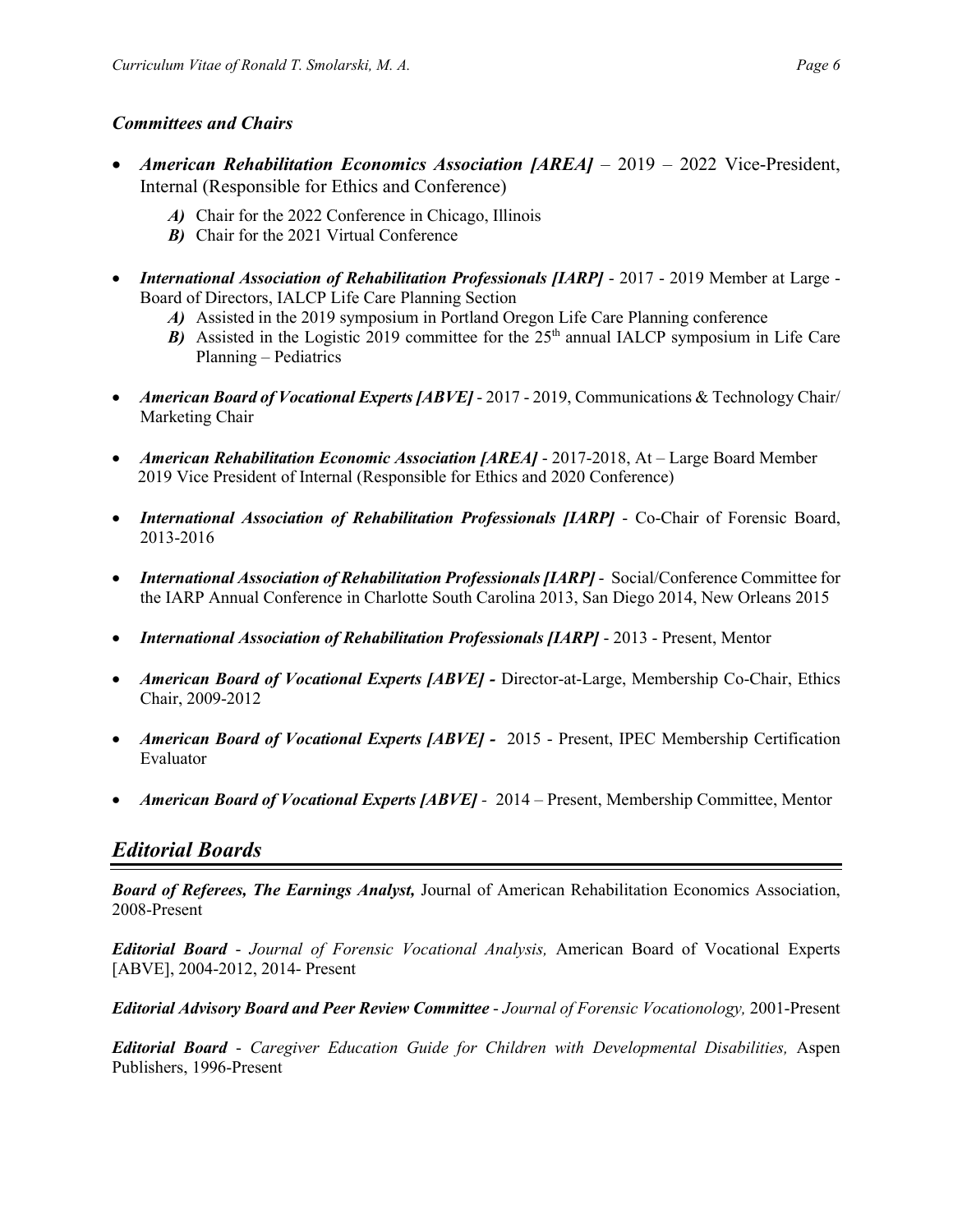#### *Committees and Chairs*

- *American Rehabilitation Economics Association [AREA] 2019 2022 Vice-President,* Internal (Responsible for Ethics and Conference)
	- *A)* Chair for the 2022 Conference in Chicago, Illinois
	- *B)* Chair for the 2021 Virtual Conference
- *International Association of Rehabilitation Professionals [IARP]* 2017 2019 Member at Large Board of Directors, IALCP Life Care Planning Section
	- *A)* Assisted in the 2019 symposium in Portland Oregon Life Care Planning conference
	- *B*) Assisted in the Logistic 2019 committee for the  $25<sup>th</sup>$  annual IALCP symposium in Life Care Planning – Pediatrics
- *American Board of Vocational Experts [ABVE]* 2017 2019, Communications & Technology Chair/ Marketing Chair
- *American Rehabilitation Economic Association [AREA]* 2017-2018, At Large Board Member 2019 Vice President of Internal (Responsible for Ethics and 2020 Conference)
- *International Association of Rehabilitation Professionals [IARP]* Co-Chair of Forensic Board, 2013-2016
- *International Association of Rehabilitation Professionals [IARP]* Social/Conference Committee for the IARP Annual Conference in Charlotte South Carolina 2013, San Diego 2014, New Orleans 2015
- *International Association of Rehabilitation Professionals [IARP]* 2013 Present, Mentor
- *American Board of Vocational Experts [ABVE]* Director-at-Large, Membership Co-Chair, Ethics Chair, 2009-2012
- *American Board of Vocational Experts [ABVE]* 2015 Present, IPEC Membership Certification Evaluator
- *American Board of Vocational Experts [ABVE] -* 2014 Present, Membership Committee, Mentor

### *Editorial Boards*

*Board of Referees, The Earnings Analyst,* Journal of American Rehabilitation Economics Association, 2008-Present

*Editorial Board* - *Journal of Forensic Vocational Analysis,* American Board of Vocational Experts [ABVE], 2004-2012, 2014- Present

*Editorial Advisory Board and Peer Review Committee* - *Journal of Forensic Vocationology,* 2001-Present

*Editorial Board* - *Caregiver Education Guide for Children with Developmental Disabilities,* Aspen Publishers, 1996-Present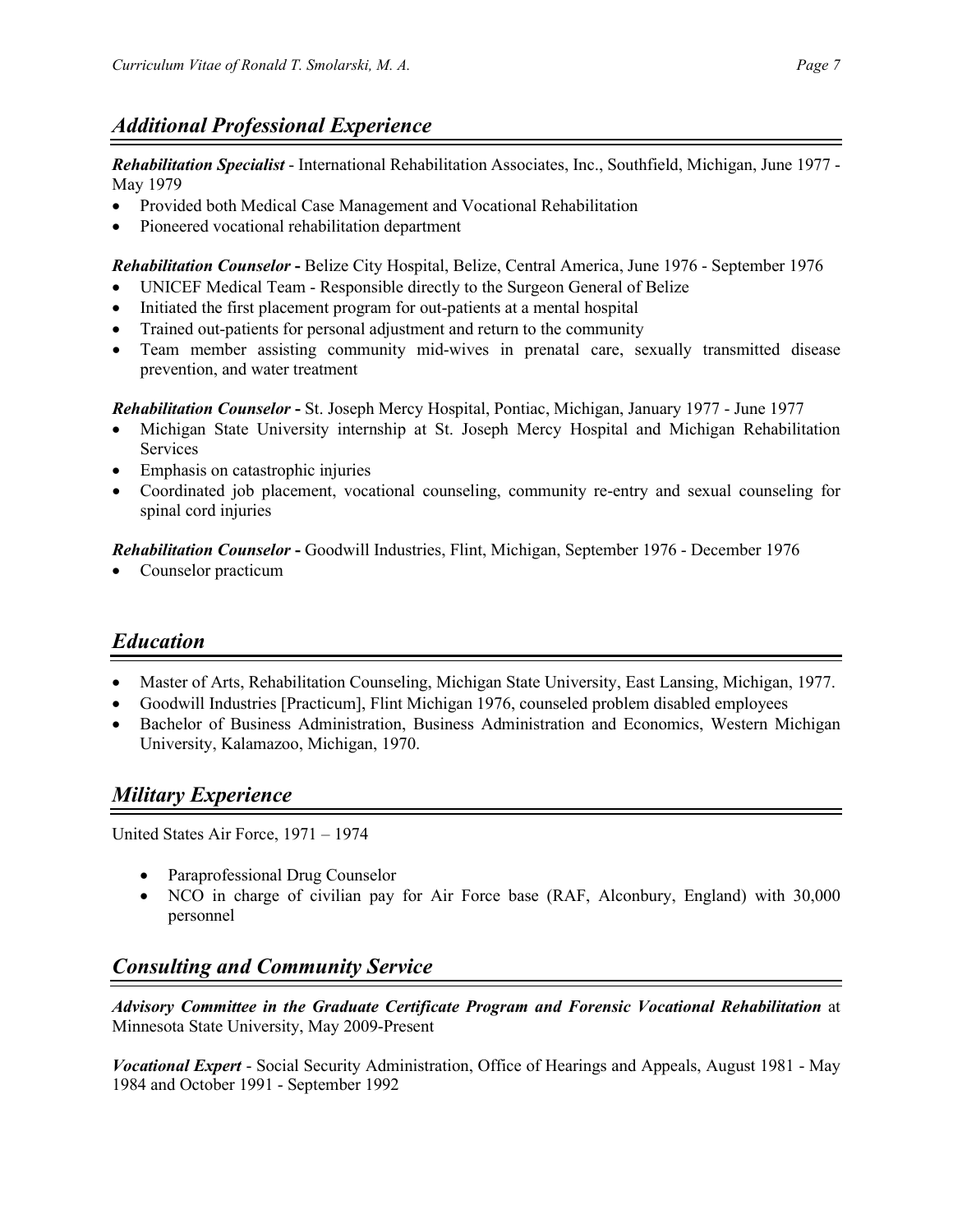### *Additional Professional Experience*

*Rehabilitation Specialist* - International Rehabilitation Associates, Inc., Southfield, Michigan, June 1977 - May 1979

- Provided both Medical Case Management and Vocational Rehabilitation
- Pioneered vocational rehabilitation department

*Rehabilitation Counselor* **-** Belize City Hospital, Belize, Central America, June 1976 - September 1976

- UNICEF Medical Team Responsible directly to the Surgeon General of Belize
- Initiated the first placement program for out-patients at a mental hospital
- Trained out-patients for personal adjustment and return to the community
- Team member assisting community mid-wives in prenatal care, sexually transmitted disease prevention, and water treatment

*Rehabilitation Counselor* **-** St. Joseph Mercy Hospital, Pontiac, Michigan, January 1977 - June 1977

- Michigan State University internship at St. Joseph Mercy Hospital and Michigan Rehabilitation Services
- Emphasis on catastrophic injuries
- Coordinated job placement, vocational counseling, community re-entry and sexual counseling for spinal cord injuries

*Rehabilitation Counselor* **-** Goodwill Industries, Flint, Michigan, September 1976 - December 1976

• Counselor practicum

# *Education*

- Master of Arts, Rehabilitation Counseling, Michigan State University, East Lansing, Michigan, 1977.
- Goodwill Industries [Practicum], Flint Michigan 1976, counseled problem disabled employees
- Bachelor of Business Administration, Business Administration and Economics, Western Michigan University, Kalamazoo, Michigan, 1970.

### *Military Experience*

United States Air Force, 1971 – 1974

- Paraprofessional Drug Counselor
- NCO in charge of civilian pay for Air Force base (RAF, Alconbury, England) with 30,000 personnel

# *Consulting and Community Service*

*Advisory Committee in the Graduate Certificate Program and Forensic Vocational Rehabilitation* at Minnesota State University, May 2009-Present

*Vocational Expert* - Social Security Administration, Office of Hearings and Appeals, August 1981 - May 1984 and October 1991 - September 1992